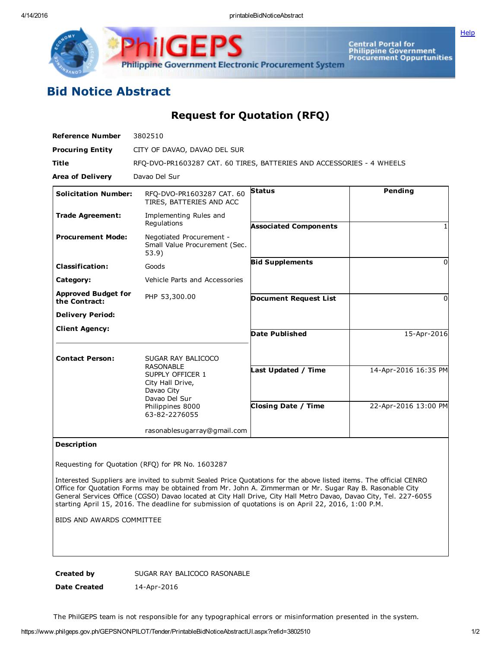Central Portal for<br>Philippine Government<br>Procurement Oppurtunities Philippine Government Electronic Procurement System

**[Help](javascript:void(window.open()** 

## Bid Notice Abstract

Request for Quotation (RFQ)

| <b>Reference Number</b>                     | 3802510                                                                                                                                            |                                                   |                                              |
|---------------------------------------------|----------------------------------------------------------------------------------------------------------------------------------------------------|---------------------------------------------------|----------------------------------------------|
| <b>Procuring Entity</b>                     | CITY OF DAVAO, DAVAO DEL SUR                                                                                                                       |                                                   |                                              |
| Title                                       | RFQ-DVO-PR1603287 CAT. 60 TIRES, BATTERIES AND ACCESSORIES - 4 WHEELS                                                                              |                                                   |                                              |
| <b>Area of Delivery</b>                     | Davao Del Sur                                                                                                                                      |                                                   |                                              |
| <b>Solicitation Number:</b>                 | RFQ-DVO-PR1603287 CAT. 60<br>TIRES, BATTERIES AND ACC                                                                                              | <b>Status</b>                                     | Pending                                      |
| <b>Trade Agreement:</b>                     | Implementing Rules and<br>Regulations                                                                                                              | <b>Associated Components</b>                      |                                              |
| <b>Procurement Mode:</b>                    | Negotiated Procurement -<br>Small Value Procurement (Sec.<br>53.9)                                                                                 |                                                   |                                              |
| <b>Classification:</b>                      | Goods                                                                                                                                              | <b>Bid Supplements</b>                            | 0                                            |
| Category:                                   | Vehicle Parts and Accessories                                                                                                                      |                                                   |                                              |
| <b>Approved Budget for</b><br>the Contract: | PHP 53,300.00                                                                                                                                      | <b>Document Request List</b>                      | <sup>0</sup>                                 |
| <b>Delivery Period:</b>                     |                                                                                                                                                    |                                                   |                                              |
| <b>Client Agency:</b>                       |                                                                                                                                                    | <b>Date Published</b>                             | 15-Apr-2016                                  |
| <b>Contact Person:</b>                      | SUGAR RAY BALICOCO<br><b>RASONABLE</b><br>SUPPLY OFFICER 1<br>City Hall Drive,<br>Davao City<br>Davao Del Sur<br>Philippines 8000<br>63-82-2276055 | Last Updated / Time<br><b>Closing Date / Time</b> | 14-Apr-2016 16:35 PM<br>22-Apr-2016 13:00 PM |
|                                             | rasonablesugarray@gmail.com                                                                                                                        |                                                   |                                              |

## Description

Requesting for Quotation (RFQ) for PR No. 1603287

Interested Suppliers are invited to submit Sealed Price Quotations for the above listed items. The official CENRO Office for Quotation Forms may be obtained from Mr. John A. Zimmerman or Mr. Sugar Ray B. Rasonable City General Services Office (CGSO) Davao located at City Hall Drive, City Hall Metro Davao, Davao City, Tel. 227-6055 starting April 15, 2016. The deadline for submission of quotations is on April 22, 2016, 1:00 P.M.

BIDS AND AWARDS COMMITTEE

Created by SUGAR RAY BALICOCO RASONABLE

Date Created 14-Apr-2016

The PhilGEPS team is not responsible for any typographical errors or misinformation presented in the system.